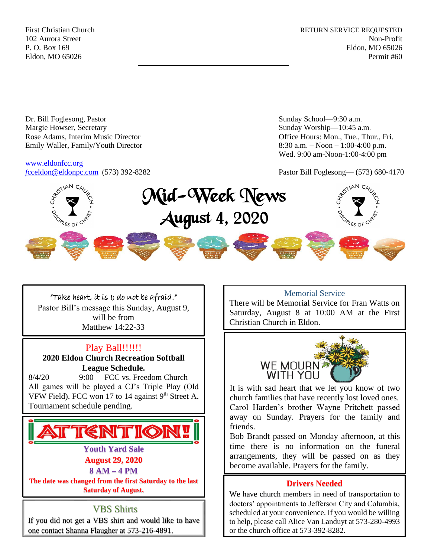First Christian Church **RETURN SERVICE REQUESTED** 102 Aurora Street Non-Profit P. O. Box 169 Eldon, MO 65026 Eldon, MO 65026 Permit #60



Dr. Bill Foglesong, Pastor Sunday School—9:30 a.m. Margie Howser, Secretary Sunday Worship—10:45 a.m. Rose Adams, Interim Music Director **Containers** Controller and Controller Controller Controller Controller and Controller Controller Controller and Controller and Controller and Controller and Controller and Controller and Emily Waller, Family/Youth Director 8:30 a.m. – Noon – 1:00-4:00 p.m.

## [www.eldonfcc.org](http://www.eldonfcc.org/)

Wed. 9:00 am-Noon-1:00-4:00 pm

*f*[cceldon@eldonpc.com](mailto:fcceldon@eldonpc.com) (573) 392-8282 Pastor Bill Foglesong— (573) 680-4170



## "Take heart, it is I; do not be afraid."

Pastor Bill's message this Sunday, August 9, will be from Matthew 14:22-33

## Play Ball!!!!!!

**2020 Eldon Church Recreation Softball League Schedule.**

8/4/20 9:00 FCC vs. Freedom Church All games will be played a CJ's Triple Play (Old VFW Field). FCC won 17 to 14 against  $9<sup>th</sup>$  Street A. Tournament schedule pending.

# **TTENTION!**

### **Youth Yard Sale August 29, 2020**

**8 AM – 4 PM**

**The date was changed from the first Saturday to the last Saturday of August.**

## VBS Shirts

If you did not get a VBS shirt and would like to have one contact Shanna Flaugher at 573-216-4891.

## Memorial Service

There will be Memorial Service for Fran Watts on Saturday, August 8 at 10:00 AM at the First Christian Church in Eldon.



It is with sad heart that we let you know of two church families that have recently lost loved ones. Carol Harden's brother Wayne Pritchett passed away on Sunday. Prayers for the family and friends.

Bob Brandt passed on Monday afternoon, at this time there is no information on the funeral arrangements, they will be passed on as they become available. Prayers for the family.

## **Drivers Needed**

We have church members in need of transportation to doctors' appointments to Jefferson City and Columbia, scheduled at your convenience. If you would be willing to help, please call Alice Van Landuyt at 573-280-4993 or the church office at 573-392-8282.